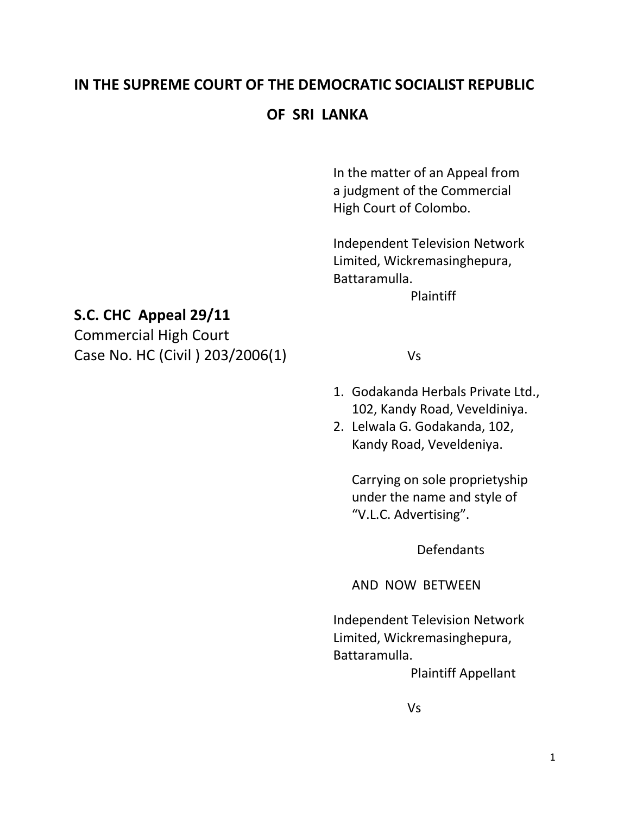# **IN THE SUPREME COURT OF THE DEMOCRATIC SOCIALIST REPUBLIC**

### **OF SRI LANKA**

In the matter of an Appeal from a judgment of the Commercial High Court of Colombo.

Independent Television Network Limited, Wickremasinghepura, Battaramulla.

Plaintiff

## **S.C. CHC Appeal 29/11**

Commercial High Court Case No. HC (Civil ) 203/2006(1) Vs

- 1. Godakanda Herbals Private Ltd., 102, Kandy Road, Veveldiniya.
- 2. Lelwala G. Godakanda, 102, Kandy Road, Veveldeniya.

Carrying on sole proprietyship under the name and style of "V.L.C. Advertising".

Defendants

AND NOW BETWEEN

Independent Television Network Limited, Wickremasinghepura, Battaramulla.

Plaintiff Appellant

Vs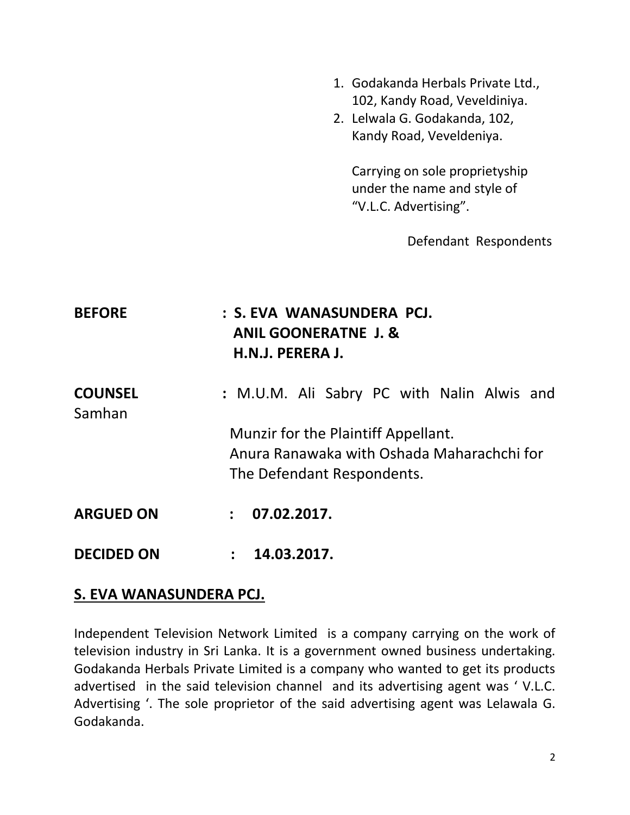- 1. Godakanda Herbals Private Ltd., 102, Kandy Road, Veveldiniya.
- 2. Lelwala G. Godakanda, 102, Kandy Road, Veveldeniya.

Carrying on sole proprietyship under the name and style of "V.L.C. Advertising".

Defendant Respondents

| <b>BEFORE</b>            | : S. EVA WANASUNDERA PCJ.<br><b>ANIL GOONERATNE J. &amp;</b><br>H.N.J. PERERA J. |
|--------------------------|----------------------------------------------------------------------------------|
| <b>COUNSEL</b><br>Samhan | : M.U.M. Ali Sabry PC with Nalin Alwis and                                       |
|                          | Munzir for the Plaintiff Appellant.                                              |
|                          | Anura Ranawaka with Oshada Maharachchi for                                       |
|                          | The Defendant Respondents.                                                       |
| <b>ARGUED ON</b>         | 07.02.2017.<br>$\mathbf{r}$                                                      |
| <b>DECIDED ON</b>        | 14.03.2017.<br>$\ddot{\phantom{a}}$                                              |

#### **S. EVA WANASUNDERA PCJ.**

Independent Television Network Limited is a company carrying on the work of television industry in Sri Lanka. It is a government owned business undertaking. Godakanda Herbals Private Limited is a company who wanted to get its products advertised in the said television channel and its advertising agent was ' V.L.C. Advertising '. The sole proprietor of the said advertising agent was Lelawala G. Godakanda.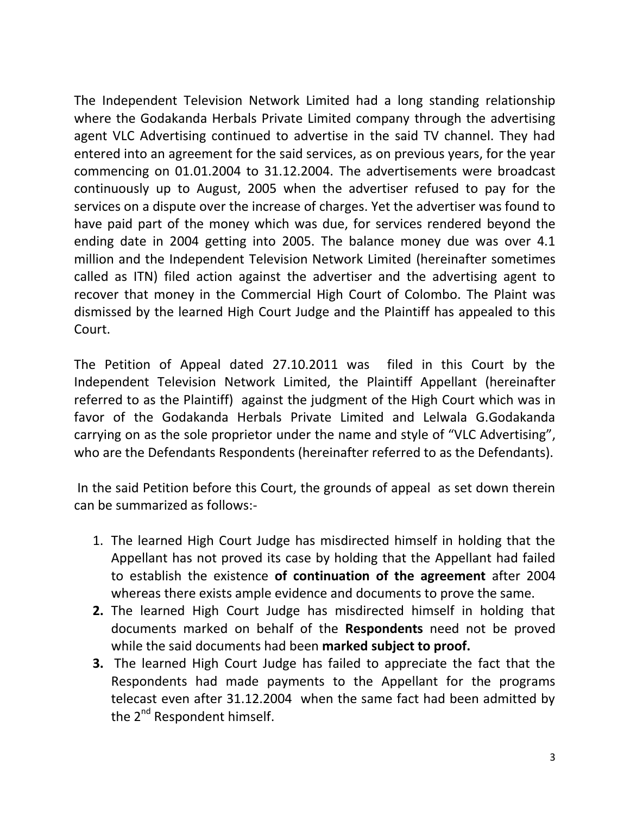The Independent Television Network Limited had a long standing relationship where the Godakanda Herbals Private Limited company through the advertising agent VLC Advertising continued to advertise in the said TV channel. They had entered into an agreement for the said services, as on previous years, for the year commencing on 01.01.2004 to 31.12.2004. The advertisements were broadcast continuously up to August, 2005 when the advertiser refused to pay for the services on a dispute over the increase of charges. Yet the advertiser was found to have paid part of the money which was due, for services rendered beyond the ending date in 2004 getting into 2005. The balance money due was over 4.1 million and the Independent Television Network Limited (hereinafter sometimes called as ITN) filed action against the advertiser and the advertising agent to recover that money in the Commercial High Court of Colombo. The Plaint was dismissed by the learned High Court Judge and the Plaintiff has appealed to this Court.

The Petition of Appeal dated 27.10.2011 was filed in this Court by the Independent Television Network Limited, the Plaintiff Appellant (hereinafter referred to as the Plaintiff) against the judgment of the High Court which was in favor of the Godakanda Herbals Private Limited and Lelwala G.Godakanda carrying on as the sole proprietor under the name and style of "VLC Advertising", who are the Defendants Respondents (hereinafter referred to as the Defendants).

In the said Petition before this Court, the grounds of appeal as set down therein can be summarized as follows:-

- 1. The learned High Court Judge has misdirected himself in holding that the Appellant has not proved its case by holding that the Appellant had failed to establish the existence **of continuation of the agreement** after 2004 whereas there exists ample evidence and documents to prove the same.
- **2.** The learned High Court Judge has misdirected himself in holding that documents marked on behalf of the **Respondents** need not be proved while the said documents had been **marked subject to proof.**
- **3.** The learned High Court Judge has failed to appreciate the fact that the Respondents had made payments to the Appellant for the programs telecast even after 31.12.2004 when the same fact had been admitted by the 2<sup>nd</sup> Respondent himself.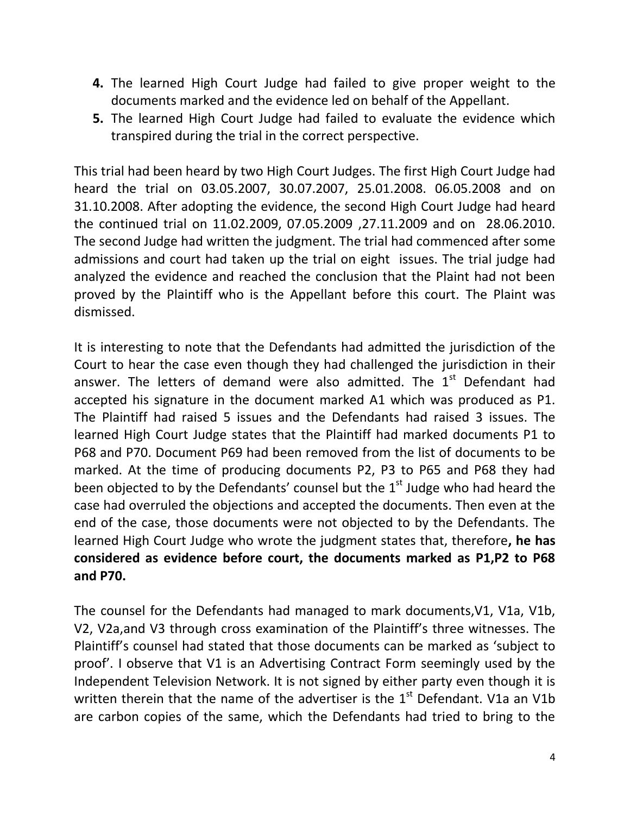- **4.** The learned High Court Judge had failed to give proper weight to the documents marked and the evidence led on behalf of the Appellant.
- **5.** The learned High Court Judge had failed to evaluate the evidence which transpired during the trial in the correct perspective.

This trial had been heard by two High Court Judges. The first High Court Judge had heard the trial on 03.05.2007, 30.07.2007, 25.01.2008. 06.05.2008 and on 31.10.2008. After adopting the evidence, the second High Court Judge had heard the continued trial on 11.02.2009, 07.05.2009 ,27.11.2009 and on 28.06.2010. The second Judge had written the judgment. The trial had commenced after some admissions and court had taken up the trial on eight issues. The trial judge had analyzed the evidence and reached the conclusion that the Plaint had not been proved by the Plaintiff who is the Appellant before this court. The Plaint was dismissed.

It is interesting to note that the Defendants had admitted the jurisdiction of the Court to hear the case even though they had challenged the jurisdiction in their answer. The letters of demand were also admitted. The  $1<sup>st</sup>$  Defendant had accepted his signature in the document marked A1 which was produced as P1. The Plaintiff had raised 5 issues and the Defendants had raised 3 issues. The learned High Court Judge states that the Plaintiff had marked documents P1 to P68 and P70. Document P69 had been removed from the list of documents to be marked. At the time of producing documents P2, P3 to P65 and P68 they had been objected to by the Defendants' counsel but the  $1<sup>st</sup>$  Judge who had heard the case had overruled the objections and accepted the documents. Then even at the end of the case, those documents were not objected to by the Defendants. The learned High Court Judge who wrote the judgment states that, therefore**, he has considered as evidence before court, the documents marked as P1,P2 to P68 and P70.**

The counsel for the Defendants had managed to mark documents,V1, V1a, V1b, V2, V2a,and V3 through cross examination of the Plaintiff's three witnesses. The Plaintiff's counsel had stated that those documents can be marked as 'subject to proof'. I observe that V1 is an Advertising Contract Form seemingly used by the Independent Television Network. It is not signed by either party even though it is written therein that the name of the advertiser is the  $1<sup>st</sup>$  Defendant. V1a an V1b are carbon copies of the same, which the Defendants had tried to bring to the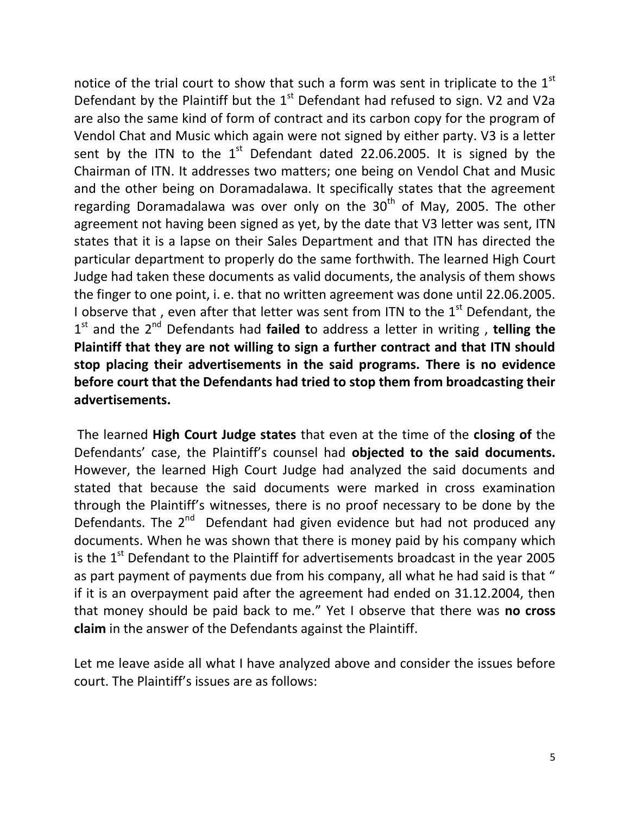notice of the trial court to show that such a form was sent in triplicate to the  $1<sup>st</sup>$ Defendant by the Plaintiff but the  $1<sup>st</sup>$  Defendant had refused to sign. V2 and V2a are also the same kind of form of contract and its carbon copy for the program of Vendol Chat and Music which again were not signed by either party. V3 is a letter sent by the ITN to the  $1<sup>st</sup>$  Defendant dated 22.06.2005. It is signed by the Chairman of ITN. It addresses two matters; one being on Vendol Chat and Music and the other being on Doramadalawa. It specifically states that the agreement regarding Doramadalawa was over only on the  $30<sup>th</sup>$  of May, 2005. The other agreement not having been signed as yet, by the date that V3 letter was sent, ITN states that it is a lapse on their Sales Department and that ITN has directed the particular department to properly do the same forthwith. The learned High Court Judge had taken these documents as valid documents, the analysis of them shows the finger to one point, i. e. that no written agreement was done until 22.06.2005. I observe that, even after that letter was sent from ITN to the  $1<sup>st</sup>$  Defendant, the 1<sup>st</sup> and the 2<sup>nd</sup> Defendants had failed to address a letter in writing, telling the **Plaintiff that they are not willing to sign a further contract and that ITN should stop placing their advertisements in the said programs. There is no evidence before court that the Defendants had tried to stop them from broadcasting their advertisements.**

The learned **High Court Judge states** that even at the time of the **closing of** the Defendants' case, the Plaintiff's counsel had **objected to the said documents.** However, the learned High Court Judge had analyzed the said documents and stated that because the said documents were marked in cross examination through the Plaintiff's witnesses, there is no proof necessary to be done by the Defendants. The 2<sup>nd</sup> Defendant had given evidence but had not produced any documents. When he was shown that there is money paid by his company which is the  $1<sup>st</sup>$  Defendant to the Plaintiff for advertisements broadcast in the year 2005 as part payment of payments due from his company, all what he had said is that " if it is an overpayment paid after the agreement had ended on 31.12.2004, then that money should be paid back to me." Yet I observe that there was **no cross claim** in the answer of the Defendants against the Plaintiff.

Let me leave aside all what I have analyzed above and consider the issues before court. The Plaintiff's issues are as follows: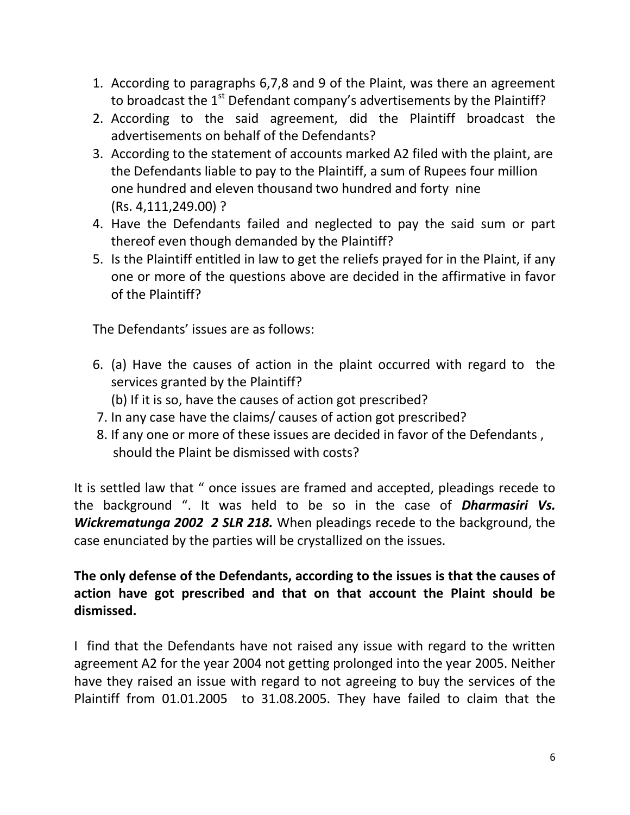- 1. According to paragraphs 6,7,8 and 9 of the Plaint, was there an agreement to broadcast the  $1<sup>st</sup>$  Defendant company's advertisements by the Plaintiff?
- 2. According to the said agreement, did the Plaintiff broadcast the advertisements on behalf of the Defendants?
- 3. According to the statement of accounts marked A2 filed with the plaint, are the Defendants liable to pay to the Plaintiff, a sum of Rupees four million one hundred and eleven thousand two hundred and forty nine (Rs. 4,111,249.00) ?
- 4. Have the Defendants failed and neglected to pay the said sum or part thereof even though demanded by the Plaintiff?
- 5. Is the Plaintiff entitled in law to get the reliefs prayed for in the Plaint, if any one or more of the questions above are decided in the affirmative in favor of the Plaintiff?

The Defendants' issues are as follows:

- 6. (a) Have the causes of action in the plaint occurred with regard to the services granted by the Plaintiff?
	- (b) If it is so, have the causes of action got prescribed?
- 7. In any case have the claims/ causes of action got prescribed?
- 8. If any one or more of these issues are decided in favor of the Defendants , should the Plaint be dismissed with costs?

It is settled law that " once issues are framed and accepted, pleadings recede to the background ". It was held to be so in the case of *Dharmasiri Vs. Wickrematunga 2002 2 SLR 218.* When pleadings recede to the background, the case enunciated by the parties will be crystallized on the issues.

## **The only defense of the Defendants, according to the issues is that the causes of action have got prescribed and that on that account the Plaint should be dismissed.**

I find that the Defendants have not raised any issue with regard to the written agreement A2 for the year 2004 not getting prolonged into the year 2005. Neither have they raised an issue with regard to not agreeing to buy the services of the Plaintiff from 01.01.2005 to 31.08.2005. They have failed to claim that the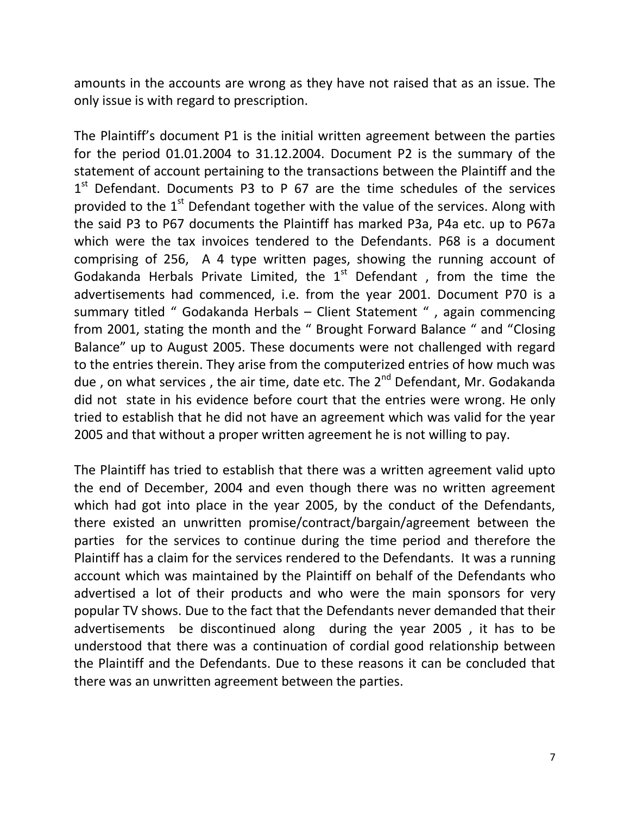amounts in the accounts are wrong as they have not raised that as an issue. The only issue is with regard to prescription.

The Plaintiff's document P1 is the initial written agreement between the parties for the period 01.01.2004 to 31.12.2004. Document P2 is the summary of the statement of account pertaining to the transactions between the Plaintiff and the  $1<sup>st</sup>$  Defendant. Documents P3 to P 67 are the time schedules of the services provided to the  $1<sup>st</sup>$  Defendant together with the value of the services. Along with the said P3 to P67 documents the Plaintiff has marked P3a, P4a etc. up to P67a which were the tax invoices tendered to the Defendants. P68 is a document comprising of 256, A 4 type written pages, showing the running account of Godakanda Herbals Private Limited, the  $1<sup>st</sup>$  Defendant, from the time the advertisements had commenced, i.e. from the year 2001. Document P70 is a summary titled " Godakanda Herbals – Client Statement " , again commencing from 2001, stating the month and the " Brought Forward Balance " and "Closing Balance" up to August 2005. These documents were not challenged with regard to the entries therein. They arise from the computerized entries of how much was due, on what services, the air time, date etc. The  $2^{nd}$  Defendant, Mr. Godakanda did not state in his evidence before court that the entries were wrong. He only tried to establish that he did not have an agreement which was valid for the year 2005 and that without a proper written agreement he is not willing to pay.

The Plaintiff has tried to establish that there was a written agreement valid upto the end of December, 2004 and even though there was no written agreement which had got into place in the year 2005, by the conduct of the Defendants, there existed an unwritten promise/contract/bargain/agreement between the parties for the services to continue during the time period and therefore the Plaintiff has a claim for the services rendered to the Defendants. It was a running account which was maintained by the Plaintiff on behalf of the Defendants who advertised a lot of their products and who were the main sponsors for very popular TV shows. Due to the fact that the Defendants never demanded that their advertisements be discontinued along during the year 2005 , it has to be understood that there was a continuation of cordial good relationship between the Plaintiff and the Defendants. Due to these reasons it can be concluded that there was an unwritten agreement between the parties.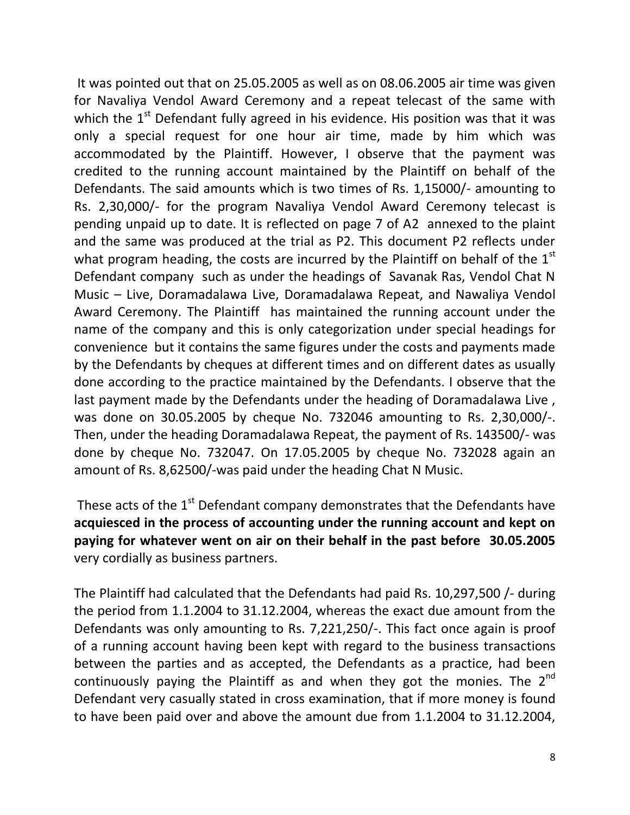It was pointed out that on 25.05.2005 as well as on 08.06.2005 air time was given for Navaliya Vendol Award Ceremony and a repeat telecast of the same with which the  $1<sup>st</sup>$  Defendant fully agreed in his evidence. His position was that it was only a special request for one hour air time, made by him which was accommodated by the Plaintiff. However, I observe that the payment was credited to the running account maintained by the Plaintiff on behalf of the Defendants. The said amounts which is two times of Rs. 1,15000/- amounting to Rs. 2,30,000/- for the program Navaliya Vendol Award Ceremony telecast is pending unpaid up to date. It is reflected on page 7 of A2 annexed to the plaint and the same was produced at the trial as P2. This document P2 reflects under what program heading, the costs are incurred by the Plaintiff on behalf of the  $1<sup>st</sup>$ Defendant company such as under the headings of Savanak Ras, Vendol Chat N Music – Live, Doramadalawa Live, Doramadalawa Repeat, and Nawaliya Vendol Award Ceremony. The Plaintiff has maintained the running account under the name of the company and this is only categorization under special headings for convenience but it contains the same figures under the costs and payments made by the Defendants by cheques at different times and on different dates as usually done according to the practice maintained by the Defendants. I observe that the last payment made by the Defendants under the heading of Doramadalawa Live , was done on 30.05.2005 by cheque No. 732046 amounting to Rs. 2,30,000/-. Then, under the heading Doramadalawa Repeat, the payment of Rs. 143500/- was done by cheque No. 732047. On 17.05.2005 by cheque No. 732028 again an amount of Rs. 8,62500/-was paid under the heading Chat N Music.

These acts of the  $1<sup>st</sup>$  Defendant company demonstrates that the Defendants have **acquiesced in the process of accounting under the running account and kept on paying for whatever went on air on their behalf in the past before 30.05.2005** very cordially as business partners.

The Plaintiff had calculated that the Defendants had paid Rs. 10,297,500 /- during the period from 1.1.2004 to 31.12.2004, whereas the exact due amount from the Defendants was only amounting to Rs. 7,221,250/-. This fact once again is proof of a running account having been kept with regard to the business transactions between the parties and as accepted, the Defendants as a practice, had been continuously paying the Plaintiff as and when they got the monies. The  $2^{nd}$ Defendant very casually stated in cross examination, that if more money is found to have been paid over and above the amount due from 1.1.2004 to 31.12.2004,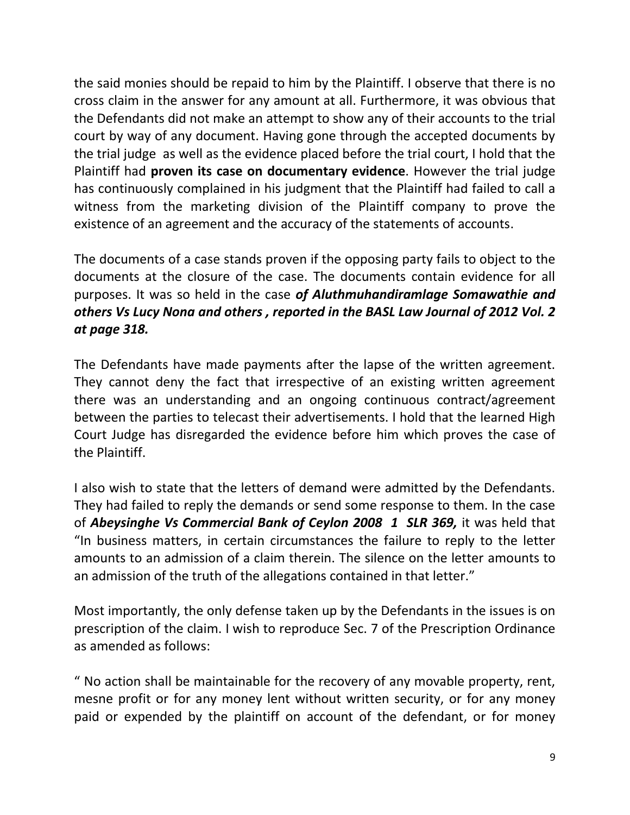the said monies should be repaid to him by the Plaintiff. I observe that there is no cross claim in the answer for any amount at all. Furthermore, it was obvious that the Defendants did not make an attempt to show any of their accounts to the trial court by way of any document. Having gone through the accepted documents by the trial judge as well as the evidence placed before the trial court, I hold that the Plaintiff had **proven its case on documentary evidence**. However the trial judge has continuously complained in his judgment that the Plaintiff had failed to call a witness from the marketing division of the Plaintiff company to prove the existence of an agreement and the accuracy of the statements of accounts.

The documents of a case stands proven if the opposing party fails to object to the documents at the closure of the case. The documents contain evidence for all purposes. It was so held in the case *of Aluthmuhandiramlage Somawathie and others Vs Lucy Nona and others , reported in the BASL Law Journal of 2012 Vol. 2 at page 318.*

The Defendants have made payments after the lapse of the written agreement. They cannot deny the fact that irrespective of an existing written agreement there was an understanding and an ongoing continuous contract/agreement between the parties to telecast their advertisements. I hold that the learned High Court Judge has disregarded the evidence before him which proves the case of the Plaintiff.

I also wish to state that the letters of demand were admitted by the Defendants. They had failed to reply the demands or send some response to them. In the case of *Abeysinghe Vs Commercial Bank of Ceylon 2008 1 SLR 369,* it was held that "In business matters, in certain circumstances the failure to reply to the letter amounts to an admission of a claim therein. The silence on the letter amounts to an admission of the truth of the allegations contained in that letter."

Most importantly, the only defense taken up by the Defendants in the issues is on prescription of the claim. I wish to reproduce Sec. 7 of the Prescription Ordinance as amended as follows:

" No action shall be maintainable for the recovery of any movable property, rent, mesne profit or for any money lent without written security, or for any money paid or expended by the plaintiff on account of the defendant, or for money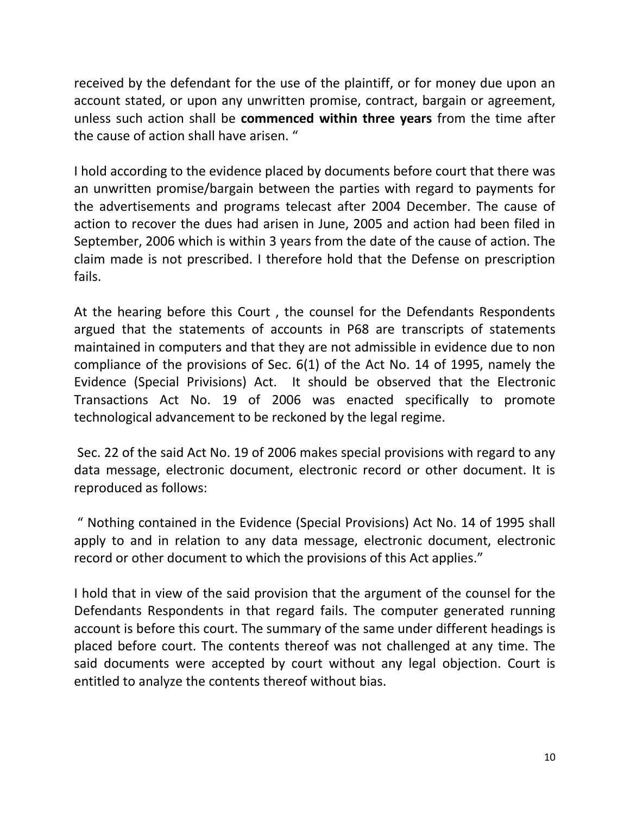received by the defendant for the use of the plaintiff, or for money due upon an account stated, or upon any unwritten promise, contract, bargain or agreement, unless such action shall be **commenced within three years** from the time after the cause of action shall have arisen. "

I hold according to the evidence placed by documents before court that there was an unwritten promise/bargain between the parties with regard to payments for the advertisements and programs telecast after 2004 December. The cause of action to recover the dues had arisen in June, 2005 and action had been filed in September, 2006 which is within 3 years from the date of the cause of action. The claim made is not prescribed. I therefore hold that the Defense on prescription fails.

At the hearing before this Court , the counsel for the Defendants Respondents argued that the statements of accounts in P68 are transcripts of statements maintained in computers and that they are not admissible in evidence due to non compliance of the provisions of Sec. 6(1) of the Act No. 14 of 1995, namely the Evidence (Special Privisions) Act. It should be observed that the Electronic Transactions Act No. 19 of 2006 was enacted specifically to promote technological advancement to be reckoned by the legal regime.

Sec. 22 of the said Act No. 19 of 2006 makes special provisions with regard to any data message, electronic document, electronic record or other document. It is reproduced as follows:

" Nothing contained in the Evidence (Special Provisions) Act No. 14 of 1995 shall apply to and in relation to any data message, electronic document, electronic record or other document to which the provisions of this Act applies."

I hold that in view of the said provision that the argument of the counsel for the Defendants Respondents in that regard fails. The computer generated running account is before this court. The summary of the same under different headings is placed before court. The contents thereof was not challenged at any time. The said documents were accepted by court without any legal objection. Court is entitled to analyze the contents thereof without bias.